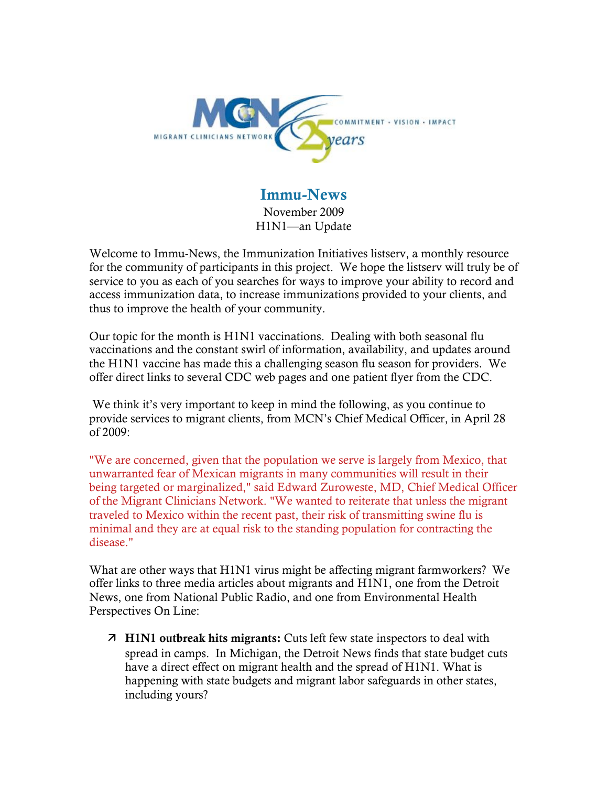

### Immu-News

November 2009 H1N1—an Update

Welcome to Immu-News, the Immunization Initiatives listserv, a monthly resource for the community of participants in this project. We hope the listserv will truly be of service to you as each of you searches for ways to improve your ability to record and access immunization data, to increase immunizations provided to your clients, and thus to improve the health of your community.

Our topic for the month is H1N1 vaccinations. Dealing with both seasonal flu vaccinations and the constant swirl of information, availability, and updates around the H1N1 vaccine has made this a challenging season flu season for providers. We offer direct links to several CDC web pages and one patient flyer from the CDC.

We think it's very important to keep in mind the following, as you continue to provide services to migrant clients, from MCN's Chief Medical Officer, in April 28 of 2009:

"We are concerned, given that the population we serve is largely from Mexico, that unwarranted fear of Mexican migrants in many communities will result in their being targeted or marginalized," said Edward Zuroweste, MD, Chief Medical Officer of the Migrant Clinicians Network. "We wanted to reiterate that unless the migrant traveled to Mexico within the recent past, their risk of transmitting swine flu is minimal and they are at equal risk to the standing population for contracting the disease."

What are other ways that H1N1 virus might be affecting migrant farmworkers? We offer links to three media articles about migrants and H1N1, one from the Detroit News, one from National Public Radio, and one from Environmental Health Perspectives On Line:

 H1N1 outbreak hits migrants: Cuts left few state inspectors to deal with spread in camps. In Michigan, the Detroit News finds that state budget cuts have a direct effect on migrant health and the spread of H1N1. What is happening with state budgets and migrant labor safeguards in other states, including yours?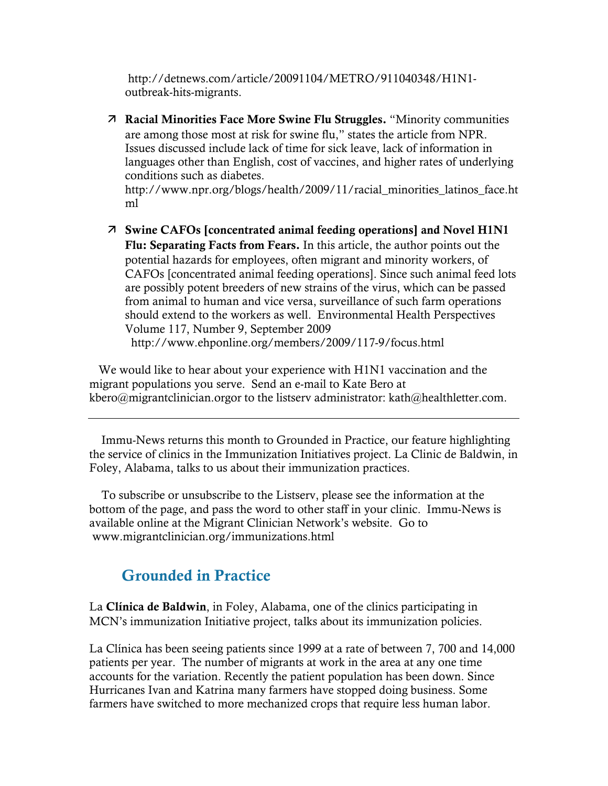http://detnews.com/article/20091104/METRO/911040348/H1N1 outbreak-hits-migrants.

 Racial Minorities Face More Swine Flu Struggles. "Minority communities are among those most at risk for swine flu," states the article from NPR. Issues discussed include lack of time for sick leave, lack of information in languages other than English, cost of vaccines, and higher rates of underlying conditions such as diabetes.

http://www.npr.org/blogs/health/2009/11/racial\_minorities\_latinos\_face.ht ml

 Swine CAFOs [concentrated animal feeding operations] and Novel H1N1 Flu: Separating Facts from Fears. In this article, the author points out the potential hazards for employees, often migrant and minority workers, of CAFOs [concentrated animal feeding operations]. Since such animal feed lots are possibly potent breeders of new strains of the virus, which can be passed from animal to human and vice versa, surveillance of such farm operations should extend to the workers as well. Environmental Health Perspectives Volume 117, Number 9, September 2009 http://www.ehponline.org/members/2009/117-9/focus.html

 We would like to hear about your experience with H1N1 vaccination and the migrant populations you serve. Send an e-mail to Kate Bero at kbero@migrantclinician.orgor to the listserv administrator: kath@healthletter.com.

 Immu-News returns this month to Grounded in Practice, our feature highlighting the service of clinics in the Immunization Initiatives project. La Clinic de Baldwin, in Foley, Alabama, talks to us about their immunization practices.

 To subscribe or unsubscribe to the Listserv, please see the information at the bottom of the page, and pass the word to other staff in your clinic. Immu-News is available online at the Migrant Clinician Network's website. Go to www.migrantclinician.org/immunizations.html

## Grounded in Practice

La Clínica de Baldwin, in Foley, Alabama, one of the clinics participating in MCN's immunization Initiative project, talks about its immunization policies.

La Clínica has been seeing patients since 1999 at a rate of between 7, 700 and 14,000 patients per year. The number of migrants at work in the area at any one time accounts for the variation. Recently the patient population has been down. Since Hurricanes Ivan and Katrina many farmers have stopped doing business. Some farmers have switched to more mechanized crops that require less human labor.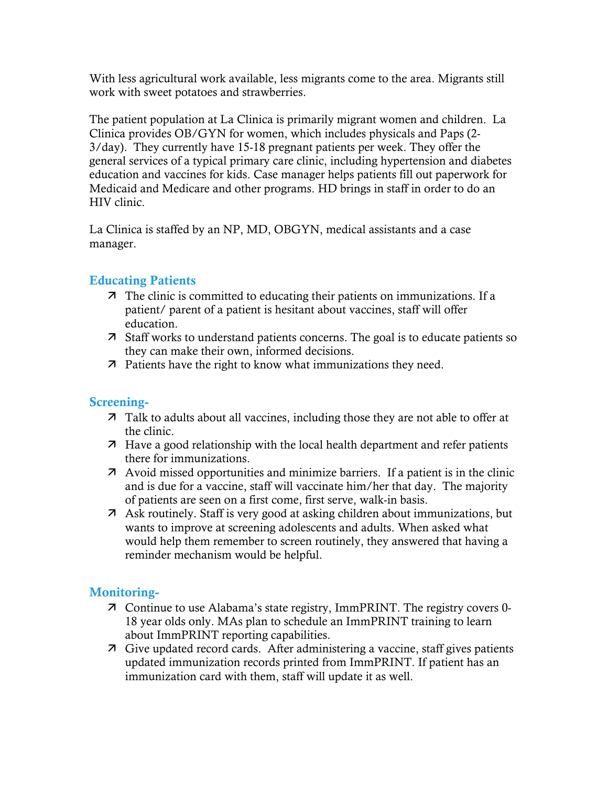With less agricultural work available, less migrants come to the area. Migrants still work with sweet potatoes and strawberries.

The patient population at La Clinica is primarily migrant women and children. La Clinica provides OB/GYN for women, which includes physicals and Paps (2- 3/day). They currently have 15-18 pregnant patients per week. They offer the general services of a typical primary care clinic, including hypertension and diabetes education and vaccines for kids. Case manager helps patients fill out paperwork for Medicaid and Medicare and other programs. HD brings in staff in order to do an HIV clinic.

La Clinica is staffed by an NP, MD, OBGYN, medical assistants and a case manager.

#### Educating Patients

- The clinic is committed to educating their patients on immunizations. If a patient/ parent of a patient is hesitant about vaccines, staff will offer education.
- Staff works to understand patients concerns. The goal is to educate patients so they can make their own, informed decisions.
- **7** Patients have the right to know what immunizations they need.

#### Screening-

- Talk to adults about all vaccines, including those they are not able to offer at the clinic.
- Have a good relationship with the local health department and refer patients there for immunizations.
- Avoid missed opportunities and minimize barriers. If a patient is in the clinic and is due for a vaccine, staff will vaccinate him/her that day. The majority of patients are seen on a first come, first serve, walk-in basis.
- Ask routinely. Staff is very good at asking children about immunizations, but wants to improve at screening adolescents and adults. When asked what would help them remember to screen routinely, they answered that having a reminder mechanism would be helpful.

#### Monitoring-

- Continue to use Alabama's state registry, ImmPRINT. The registry covers 0- 18 year olds only. MAs plan to schedule an ImmPRINT training to learn about ImmPRINT reporting capabilities.
- Give updated record cards. After administering a vaccine, staff gives patients updated immunization records printed from ImmPRINT. If patient has an immunization card with them, staff will update it as well.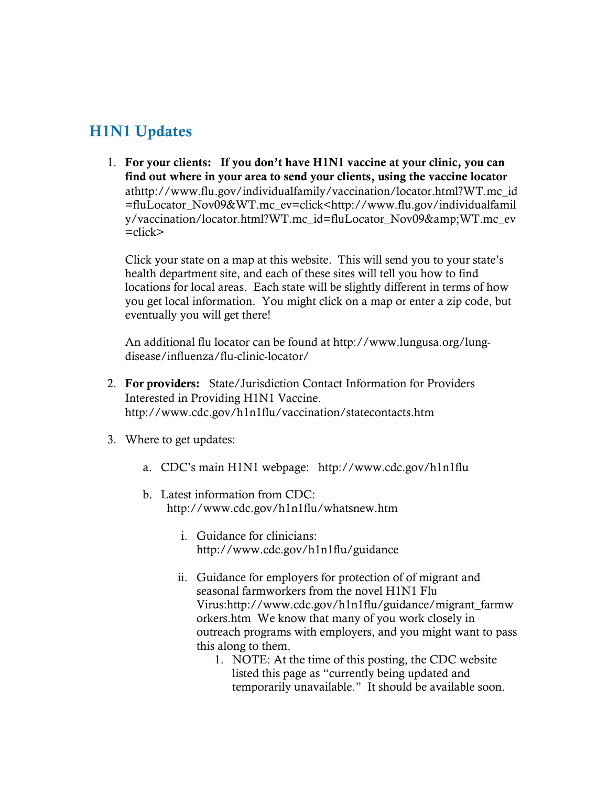# H1N1 Updates

1. For your clients: If you don't have H1N1 vaccine at your clinic, you can find out where in your area to send your clients, using the vaccine locator athttp://www.flu.gov/individualfamily/vaccination/locator.html?WT.mc\_id =fluLocator\_Nov09&WT.mc\_ev=click<http://www.flu.gov/individualfamil y/vaccination/locator.html?WT.mc\_id=fluLocator\_Nov09&WT.mc\_ev  $=$ click $>$ 

Click your state on a map at this website. This will send you to your state's health department site, and each of these sites will tell you how to find locations for local areas. Each state will be slightly different in terms of how you get local information. You might click on a map or enter a zip code, but eventually you will get there!

An additional flu locator can be found at http://www.lungusa.org/lungdisease/influenza/flu-clinic-locator/

- 2. For providers: State/Jurisdiction Contact Information for Providers Interested in Providing H1N1 Vaccine. http://www.cdc.gov/h1n1flu/vaccination/statecontacts.htm
- 3. Where to get updates:
	- a. CDC's main H1N1 webpage: http://www.cdc.gov/h1n1flu
	- b. Latest information from CDC: http://www.cdc.gov/h1n1flu/whatsnew.htm
		- i. Guidance for clinicians: http://www.cdc.gov/h1n1flu/guidance
		- ii. Guidance for employers for protection of of migrant and seasonal farmworkers from the novel H1N1 Flu Virus:http://www.cdc.gov/h1n1flu/guidance/migrant\_farmw orkers.htm We know that many of you work closely in outreach programs with employers, and you might want to pass this along to them.
			- 1. NOTE: At the time of this posting, the CDC website listed this page as "currently being updated and temporarily unavailable." It should be available soon.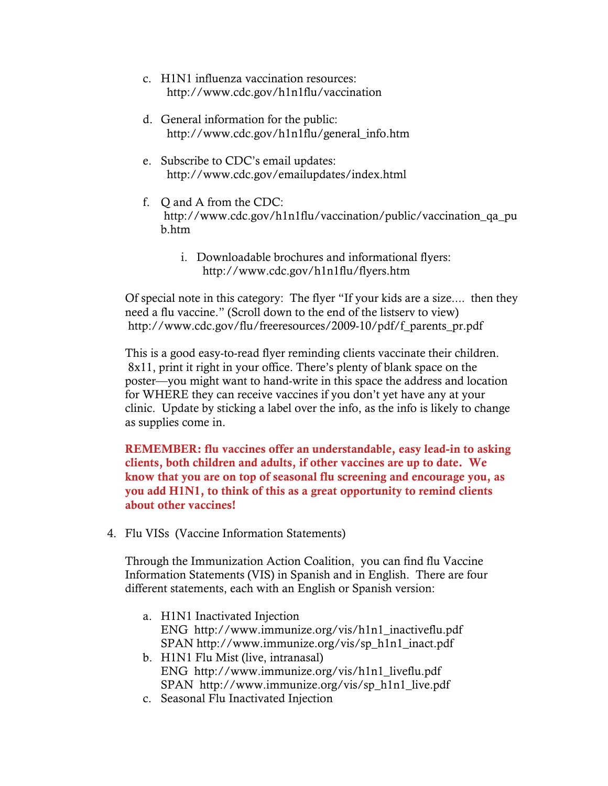- c. H1N1 influenza vaccination resources: http://www.cdc.gov/h1n1flu/vaccination
- d. General information for the public: http://www.cdc.gov/h1n1flu/general\_info.htm
- e. Subscribe to CDC's email updates: http://www.cdc.gov/emailupdates/index.html
- f. Q and A from the CDC: http://www.cdc.gov/h1n1flu/vaccination/public/vaccination\_qa\_pu b.htm
	- i. Downloadable brochures and informational flyers: http://www.cdc.gov/h1n1flu/flyers.htm

Of special note in this category: The flyer "If your kids are a size.... then they need a flu vaccine." (Scroll down to the end of the listserv to view) http://www.cdc.gov/flu/freeresources/2009-10/pdf/f\_parents\_pr.pdf

This is a good easy-to-read flyer reminding clients vaccinate their children. 8x11, print it right in your office. There's plenty of blank space on the poster—you might want to hand-write in this space the address and location for WHERE they can receive vaccines if you don't yet have any at your clinic. Update by sticking a label over the info, as the info is likely to change as supplies come in.

REMEMBER: flu vaccines offer an understandable, easy lead-in to asking clients, both children and adults, if other vaccines are up to date. We know that you are on top of seasonal flu screening and encourage you, as you add H1N1, to think of this as a great opportunity to remind clients about other vaccines!

4. Flu VISs (Vaccine Information Statements)

Through the Immunization Action Coalition, you can find flu Vaccine Information Statements (VIS) in Spanish and in English. There are four different statements, each with an English or Spanish version:

- a. H1N1 Inactivated Injection ENG http://www.immunize.org/vis/h1n1\_inactiveflu.pdf SPAN http://www.immunize.org/vis/sp\_h1n1\_inact.pdf
- b. H1N1 Flu Mist (live, intranasal) ENG http://www.immunize.org/vis/h1n1\_liveflu.pdf SPAN http://www.immunize.org/vis/sp\_h1n1\_live.pdf
- c. Seasonal Flu Inactivated Injection